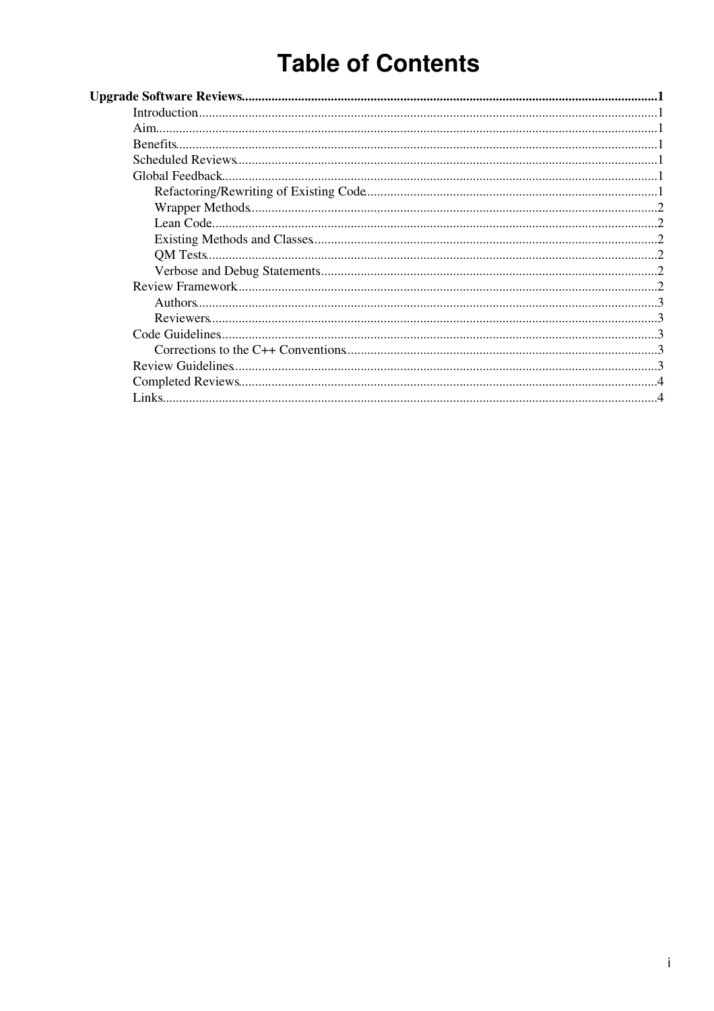# **Table of Contents**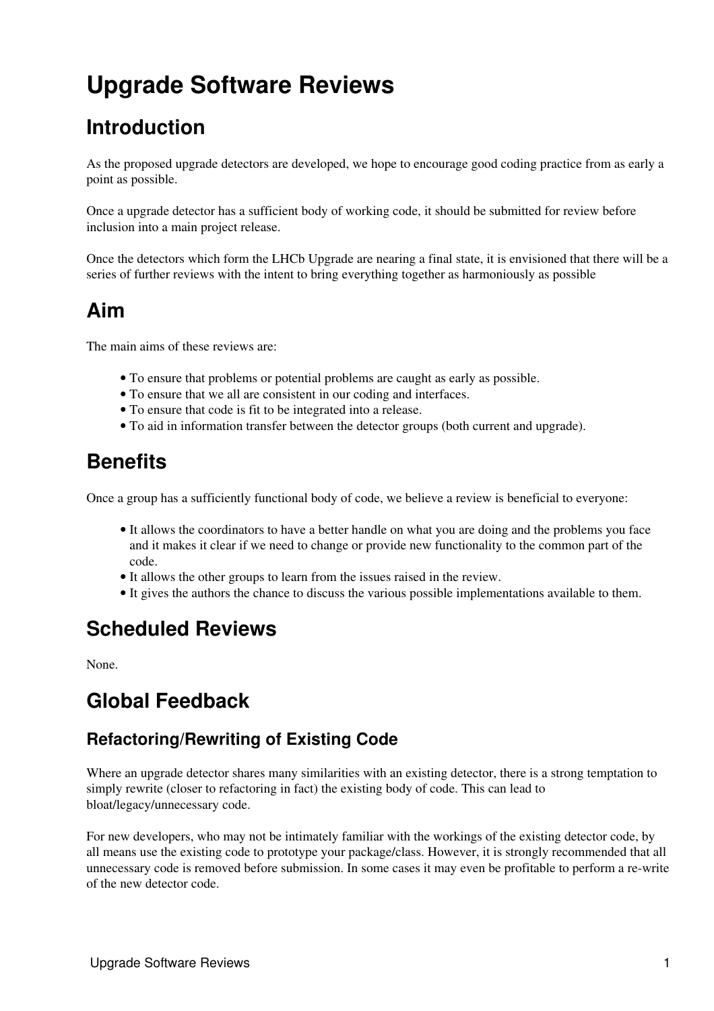# <span id="page-1-0"></span>**Upgrade Software Reviews**

# <span id="page-1-1"></span>**Introduction**

As the proposed upgrade detectors are developed, we hope to encourage good coding practice from as early a point as possible.

Once a upgrade detector has a sufficient body of working code, it should be submitted for review before inclusion into a main project release.

Once the detectors which form the LHCb Upgrade are nearing a final state, it is envisioned that there will be a series of further reviews with the intent to bring everything together as harmoniously as possible

# <span id="page-1-2"></span>**Aim**

The main aims of these reviews are:

- To ensure that problems or potential problems are caught as early as possible.
- To ensure that we all are consistent in our coding and interfaces.
- To ensure that code is fit to be integrated into a release.
- To aid in information transfer between the detector groups (both current and upgrade).

## <span id="page-1-3"></span>**Benefits**

Once a group has a sufficiently functional body of code, we believe a review is beneficial to everyone:

- It allows the coordinators to have a better handle on what you are doing and the problems you face and it makes it clear if we need to change or provide new functionality to the common part of the code.
- It allows the other groups to learn from the issues raised in the review.
- It gives the authors the chance to discuss the various possible implementations available to them.

## <span id="page-1-4"></span>**Scheduled Reviews**

None.

## <span id="page-1-5"></span>**Global Feedback**

#### <span id="page-1-6"></span>**Refactoring/Rewriting of Existing Code**

Where an upgrade detector shares many similarities with an existing detector, there is a strong temptation to simply rewrite (closer to refactoring in fact) the existing body of code. This can lead to bloat/legacy/unnecessary code.

For new developers, who may not be intimately familiar with the workings of the existing detector code, by all means use the existing code to prototype your package/class. However, it is strongly recommended that all unnecessary code is removed before submission. In some cases it may even be profitable to perform a re-write of the new detector code.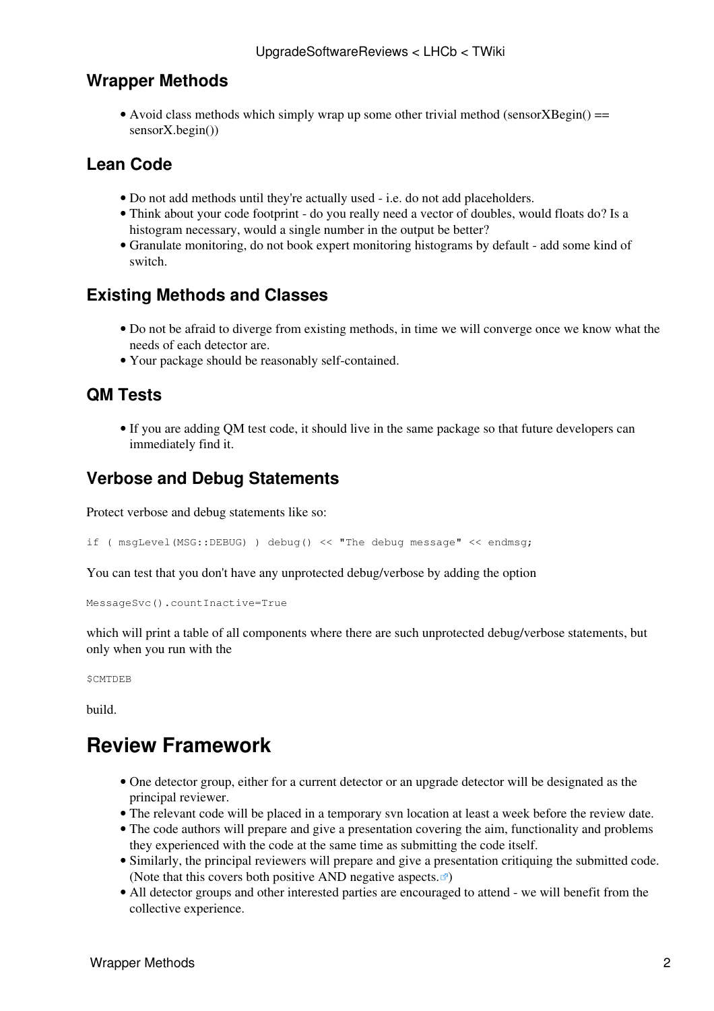#### <span id="page-2-0"></span>**Wrapper Methods**

• Avoid class methods which simply wrap up some other trivial method (sensorXBegin() == sensorX.begin())

#### <span id="page-2-1"></span>**Lean Code**

- Do not add methods until they're actually used i.e. do not add placeholders.
- Think about your code footprint do you really need a vector of doubles, would floats do? Is a histogram necessary, would a single number in the output be better?
- Granulate monitoring, do not book expert monitoring histograms by default add some kind of switch.

#### <span id="page-2-2"></span>**Existing Methods and Classes**

- Do not be afraid to diverge from existing methods, in time we will converge once we know what the needs of each detector are.
- Your package should be reasonably self-contained.

#### <span id="page-2-3"></span>**QM Tests**

• If you are adding QM test code, it should live in the same package so that future developers can immediately find it.

#### <span id="page-2-4"></span>**Verbose and Debug Statements**

Protect verbose and debug statements like so:

if (  $mgLevel(MSG::DEBUG)$  ) debug() << "The debug message" << endmsg;

You can test that you don't have any unprotected debug/verbose by adding the option

```
MessageSvc().countInactive=True
```
which will print a table of all components where there are such unprotected debug/verbose statements, but only when you run with the

**SCMTDEB** 

build.

# <span id="page-2-5"></span>**Review Framework**

- One detector group, either for a current detector or an upgrade detector will be designated as the principal reviewer.
- The relevant code will be placed in a temporary svn location at least a week before the review date.
- The code authors will prepare and give a presentation covering the aim, functionality and problems they experienced with the code at the same time as submitting the code itself.
- Similarly, the principal reviewers will prepare and give a presentation critiquing the submitted code. ([Note that this covers both positive AND negative aspects.](http://en.wikipedia.org/wiki/Critique) $\vec{r}$ )
- All detector groups and other interested parties are encouraged to attend we will benefit from the collective experience.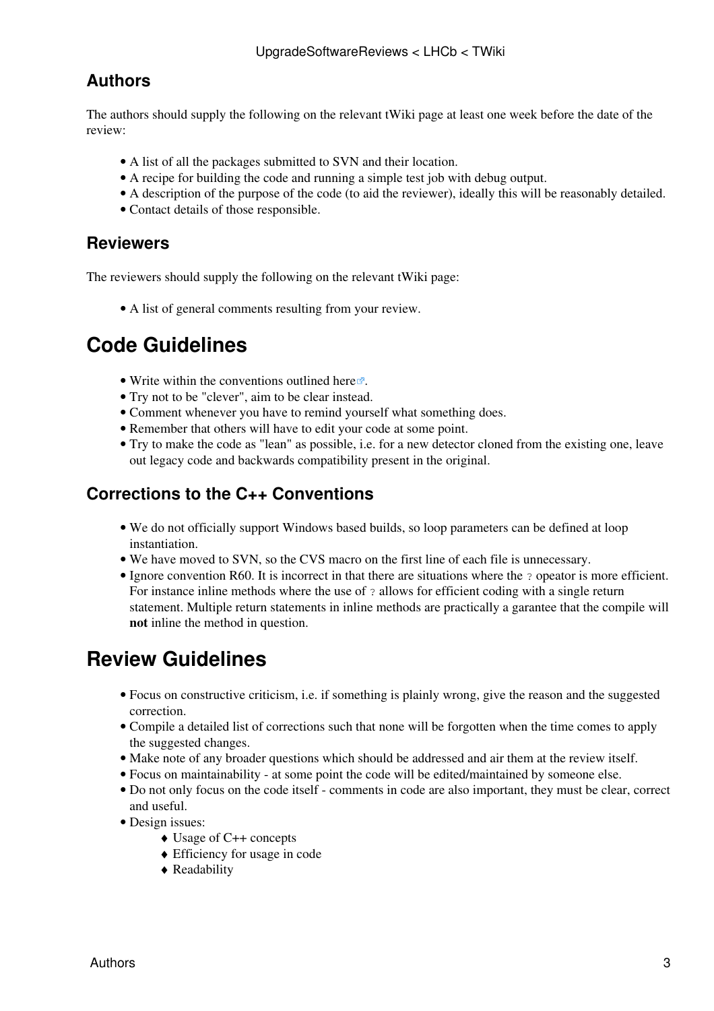#### <span id="page-3-0"></span>**Authors**

The authors should supply the following on the relevant tWiki page at least one week before the date of the review:

- A list of all the packages submitted to SVN and their location.
- A recipe for building the code and running a simple test job with debug output.
- A description of the purpose of the code (to aid the reviewer), ideally this will be reasonably detailed.
- Contact details of those responsible.

#### <span id="page-3-1"></span>**Reviewers**

The reviewers should supply the following on the relevant tWiki page:

• A list of general comments resulting from your review.

# <span id="page-3-2"></span>**Code Guidelines**

- Write within the conventions outlined [here](http://lhcb-comp.web.cern.ch/lhcb-comp/support/Conventions/default.htm) $\mathbb{Z}$ .
- Try not to be "clever", aim to be clear instead.
- Comment whenever you have to remind yourself what something does.
- Remember that others will have to edit your code at some point.
- Try to make the code as "lean" as possible, i.e. for a new detector cloned from the existing one, leave out legacy code and backwards compatibility present in the original.

#### <span id="page-3-3"></span>**Corrections to the C++ Conventions**

- We do not officially support Windows based builds, so loop parameters can be defined at loop instantiation.
- We have moved to SVN, so the CVS macro on the first line of each file is unnecessary.
- Ignore convention R60. It is incorrect in that there are situations where the ? opeator is more efficient. For instance inline methods where the use of ? allows for efficient coding with a single return statement. Multiple return statements in inline methods are practically a garantee that the compile will **not** inline the method in question.

# <span id="page-3-4"></span>**Review Guidelines**

- Focus on constructive criticism, i.e. if something is plainly wrong, give the reason and the suggested correction.
- Compile a detailed list of corrections such that none will be forgotten when the time comes to apply the suggested changes.
- Make note of any broader questions which should be addressed and air them at the review itself.
- Focus on maintainability at some point the code will be edited/maintained by someone else.
- Do not only focus on the code itself comments in code are also important, they must be clear, correct and useful.
- Design issues:
	- ♦ Usage of C++ concepts
	- ♦ Efficiency for usage in code
	- ♦ Readability